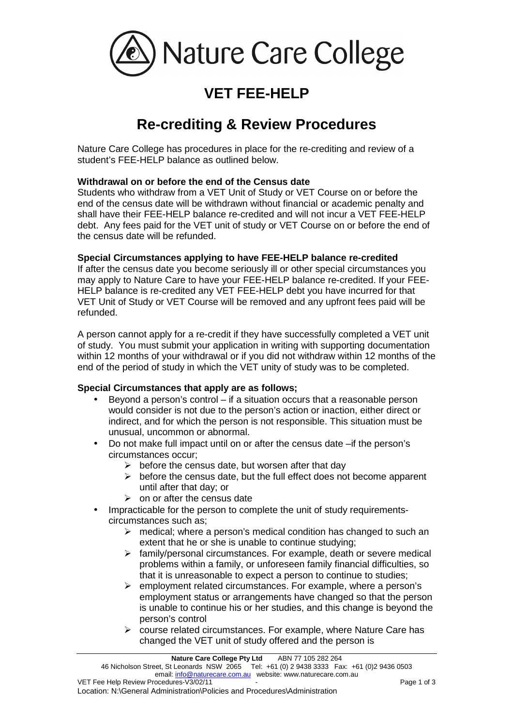

# **VET FEE-HELP**

## **Re-crediting & Review Procedures**

Nature Care College has procedures in place for the re-crediting and review of a student's FEE-HELP balance as outlined below.

## **Withdrawal on or before the end of the Census date**

Students who withdraw from a VET Unit of Study or VET Course on or before the end of the census date will be withdrawn without financial or academic penalty and shall have their FEE-HELP balance re-credited and will not incur a VET FEE-HELP debt. Any fees paid for the VET unit of study or VET Course on or before the end of the census date will be refunded.

### **Special Circumstances applying to have FEE-HELP balance re-credited**

If after the census date you become seriously ill or other special circumstances you may apply to Nature Care to have your FEE-HELP balance re-credited. If your FEE-HELP balance is re-credited any VET FEE-HELP debt you have incurred for that VET Unit of Study or VET Course will be removed and any upfront fees paid will be refunded.

A person cannot apply for a re-credit if they have successfully completed a VET unit of study. You must submit your application in writing with supporting documentation within 12 months of your withdrawal or if you did not withdraw within 12 months of the end of the period of study in which the VET unity of study was to be completed.

#### **Special Circumstances that apply are as follows;**

- Beyond a person's control if a situation occurs that a reasonable person would consider is not due to the person's action or inaction, either direct or indirect, and for which the person is not responsible. This situation must be unusual, uncommon or abnormal.
- Do not make full impact until on or after the census date –if the person's circumstances occur;
	- $\triangleright$  before the census date, but worsen after that day
	- $\triangleright$  before the census date, but the full effect does not become apparent until after that day; or
	- $\triangleright$  on or after the census date
	- Impracticable for the person to complete the unit of study requirementscircumstances such as;
		- $\triangleright$  medical; where a person's medical condition has changed to such an extent that he or she is unable to continue studying;
		- $\triangleright$  family/personal circumstances. For example, death or severe medical problems within a family, or unforeseen family financial difficulties, so that it is unreasonable to expect a person to continue to studies;
		- $\triangleright$  employment related circumstances. For example, where a person's employment status or arrangements have changed so that the person is unable to continue his or her studies, and this change is beyond the person's control
		- $\triangleright$  course related circumstances. For example, where Nature Care has changed the VET unit of study offered and the person is

Location: N:\General Administration\Policies and Procedures\Administration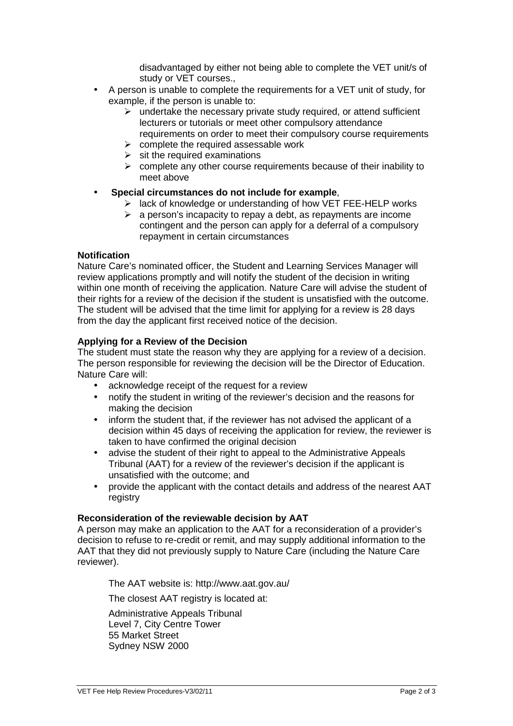disadvantaged by either not being able to complete the VET unit/s of study or VET courses.,

- A person is unable to complete the requirements for a VET unit of study, for example, if the person is unable to:
	- $\triangleright$  undertake the necessary private study required, or attend sufficient lecturers or tutorials or meet other compulsory attendance requirements on order to meet their compulsory course requirements
	- $\triangleright$  complete the required assessable work
	- $\triangleright$  sit the required examinations
	- $\triangleright$  complete any other course requirements because of their inability to meet above
- **Special circumstances do not include for example**,
	- $\triangleright$  lack of knowledge or understanding of how VET FEE-HELP works
	- $\triangleright$  a person's incapacity to repay a debt, as repayments are income contingent and the person can apply for a deferral of a compulsory repayment in certain circumstances

#### **Notification**

Nature Care's nominated officer, the Student and Learning Services Manager will review applications promptly and will notify the student of the decision in writing within one month of receiving the application. Nature Care will advise the student of their rights for a review of the decision if the student is unsatisfied with the outcome. The student will be advised that the time limit for applying for a review is 28 days from the day the applicant first received notice of the decision.

#### **Applying for a Review of the Decision**

The student must state the reason why they are applying for a review of a decision. The person responsible for reviewing the decision will be the Director of Education. Nature Care will:

- acknowledge receipt of the request for a review
- notify the student in writing of the reviewer's decision and the reasons for making the decision
- inform the student that, if the reviewer has not advised the applicant of a decision within 45 days of receiving the application for review, the reviewer is taken to have confirmed the original decision
- advise the student of their right to appeal to the Administrative Appeals Tribunal (AAT) for a review of the reviewer's decision if the applicant is unsatisfied with the outcome; and
- provide the applicant with the contact details and address of the nearest AAT registry

#### **Reconsideration of the reviewable decision by AAT**

A person may make an application to the AAT for a reconsideration of a provider's decision to refuse to re-credit or remit, and may supply additional information to the AAT that they did not previously supply to Nature Care (including the Nature Care reviewer).

The AAT website is: http://www.aat.gov.au/

The closest AAT registry is located at:

Administrative Appeals Tribunal Level 7, City Centre Tower 55 Market Street Sydney NSW 2000